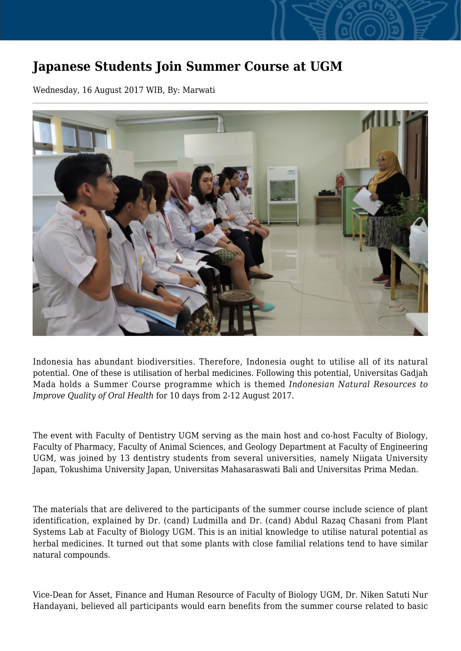## **Japanese Students Join Summer Course at UGM**

Wednesday, 16 August 2017 WIB, By: Marwati



Indonesia has abundant biodiversities. Therefore, Indonesia ought to utilise all of its natural potential. One of these is utilisation of herbal medicines. Following this potential, Universitas Gadjah Mada holds a Summer Course programme which is themed *Indonesian Natural Resources to Improve Quality of Oral Health* for 10 days from 2-12 August 2017.

The event with Faculty of Dentistry UGM serving as the main host and co-host Faculty of Biology, Faculty of Pharmacy, Faculty of Animal Sciences, and Geology Department at Faculty of Engineering UGM, was joined by 13 dentistry students from several universities, namely Niigata University Japan, Tokushima University Japan, Universitas Mahasaraswati Bali and Universitas Prima Medan.

The materials that are delivered to the participants of the summer course include science of plant identification, explained by Dr. (cand) Ludmilla and Dr. (cand) Abdul Razaq Chasani from Plant Systems Lab at Faculty of Biology UGM. This is an initial knowledge to utilise natural potential as herbal medicines. It turned out that some plants with close familial relations tend to have similar natural compounds.

Vice-Dean for Asset, Finance and Human Resource of Faculty of Biology UGM, Dr. Niken Satuti Nur Handayani, believed all participants would earn benefits from the summer course related to basic